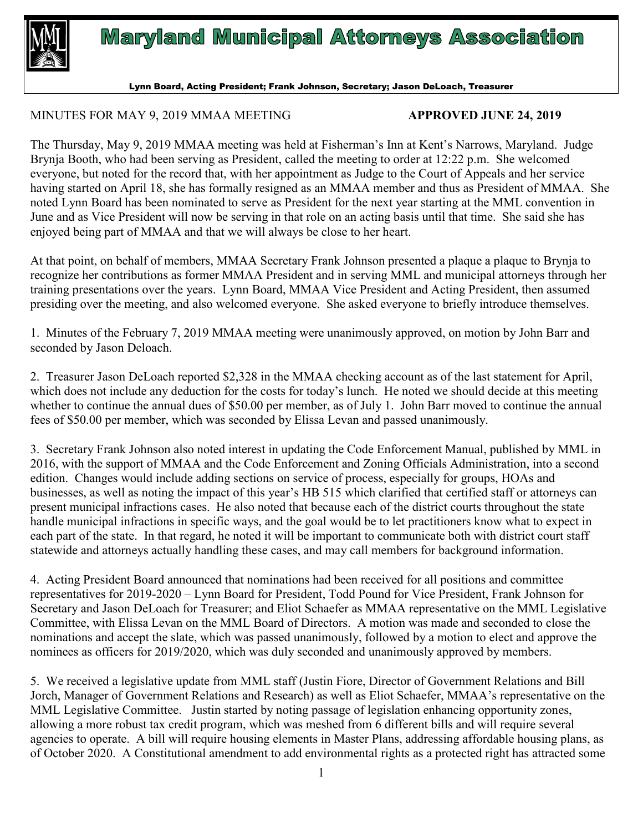

## **Maryland Municipal Attorneys Association**

Lynn Board, Acting President; Frank Johnson, Secretary; Jason DeLoach, Treasurer

## MINUTES FOR MAY 9, 2019 MMAA MEETING **APPROVED JUNE 24, 2019**

The Thursday, May 9, 2019 MMAA meeting was held at Fisherman's Inn at Kent's Narrows, Maryland. Judge Brynja Booth, who had been serving as President, called the meeting to order at 12:22 p.m. She welcomed everyone, but noted for the record that, with her appointment as Judge to the Court of Appeals and her service having started on April 18, she has formally resigned as an MMAA member and thus as President of MMAA. She noted Lynn Board has been nominated to serve as President for the next year starting at the MML convention in June and as Vice President will now be serving in that role on an acting basis until that time. She said she has enjoyed being part of MMAA and that we will always be close to her heart.

At that point, on behalf of members, MMAA Secretary Frank Johnson presented a plaque a plaque to Brynja to recognize her contributions as former MMAA President and in serving MML and municipal attorneys through her training presentations over the years. Lynn Board, MMAA Vice President and Acting President, then assumed presiding over the meeting, and also welcomed everyone. She asked everyone to briefly introduce themselves.

1. Minutes of the February 7, 2019 MMAA meeting were unanimously approved, on motion by John Barr and seconded by Jason Deloach.

2. Treasurer Jason DeLoach reported \$2,328 in the MMAA checking account as of the last statement for April, which does not include any deduction for the costs for today's lunch. He noted we should decide at this meeting whether to continue the annual dues of \$50.00 per member, as of July 1. John Barr moved to continue the annual fees of \$50.00 per member, which was seconded by Elissa Levan and passed unanimously.

3. Secretary Frank Johnson also noted interest in updating the Code Enforcement Manual, published by MML in 2016, with the support of MMAA and the Code Enforcement and Zoning Officials Administration, into a second edition. Changes would include adding sections on service of process, especially for groups, HOAs and businesses, as well as noting the impact of this year's HB 515 which clarified that certified staff or attorneys can present municipal infractions cases. He also noted that because each of the district courts throughout the state handle municipal infractions in specific ways, and the goal would be to let practitioners know what to expect in each part of the state. In that regard, he noted it will be important to communicate both with district court staff statewide and attorneys actually handling these cases, and may call members for background information.

4. Acting President Board announced that nominations had been received for all positions and committee representatives for 2019-2020 – Lynn Board for President, Todd Pound for Vice President, Frank Johnson for Secretary and Jason DeLoach for Treasurer; and Eliot Schaefer as MMAA representative on the MML Legislative Committee, with Elissa Levan on the MML Board of Directors. A motion was made and seconded to close the nominations and accept the slate, which was passed unanimously, followed by a motion to elect and approve the nominees as officers for 2019/2020, which was duly seconded and unanimously approved by members.

5. We received a legislative update from MML staff (Justin Fiore, Director of Government Relations and Bill Jorch, Manager of Government Relations and Research) as well as Eliot Schaefer, MMAA's representative on the MML Legislative Committee. Justin started by noting passage of legislation enhancing opportunity zones, allowing a more robust tax credit program, which was meshed from 6 different bills and will require several agencies to operate. A bill will require housing elements in Master Plans, addressing affordable housing plans, as of October 2020. A Constitutional amendment to add environmental rights as a protected right has attracted some